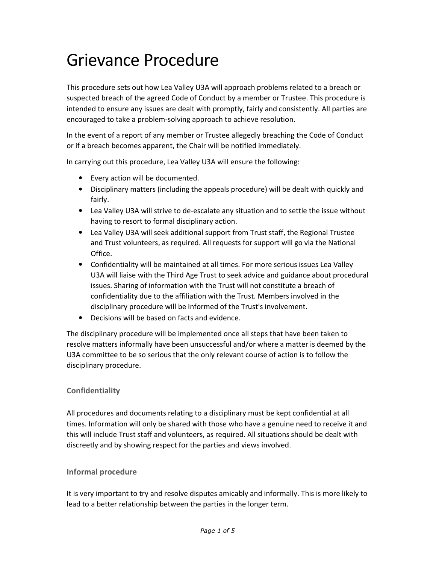# Grievance Procedure

This procedure sets out how Lea Valley U3A will approach problems related to a breach or suspected breach of the agreed Code of Conduct by a member or Trustee. This procedure is intended to ensure any issues are dealt with promptly, fairly and consistently. All parties are encouraged to take a problem-solving approach to achieve resolution.

In the event of a report of any member or Trustee allegedly breaching the Code of Conduct or if a breach becomes apparent, the Chair will be notified immediately.

In carrying out this procedure, Lea Valley U3A will ensure the following:

- Every action will be documented.
- Disciplinary matters (including the appeals procedure) will be dealt with quickly and fairly.
- Lea Valley U3A will strive to de-escalate any situation and to settle the issue without having to resort to formal disciplinary action.
- Lea Valley U3A will seek additional support from Trust staff, the Regional Trustee and Trust volunteers, as required. All requests for support will go via the National Office.
- Confidentiality will be maintained at all times. For more serious issues Lea Valley U3A will liaise with the Third Age Trust to seek advice and guidance about procedural issues. Sharing of information with the Trust will not constitute a breach of confidentiality due to the affiliation with the Trust. Members involved in the disciplinary procedure will be informed of the Trust's involvement.
- Decisions will be based on facts and evidence.

The disciplinary procedure will be implemented once all steps that have been taken to resolve matters informally have been unsuccessful and/or where a matter is deemed by the U3A committee to be so serious that the only relevant course of action is to follow the disciplinary procedure.

# **Confidentiality**

All procedures and documents relating to a disciplinary must be kept confidential at all times. Information will only be shared with those who have a genuine need to receive it and this will include Trust staff and volunteers, as required. All situations should be dealt with discreetly and by showing respect for the parties and views involved.

# **Informal procedure**

It is very important to try and resolve disputes amicably and informally. This is more likely to lead to a better relationship between the parties in the longer term.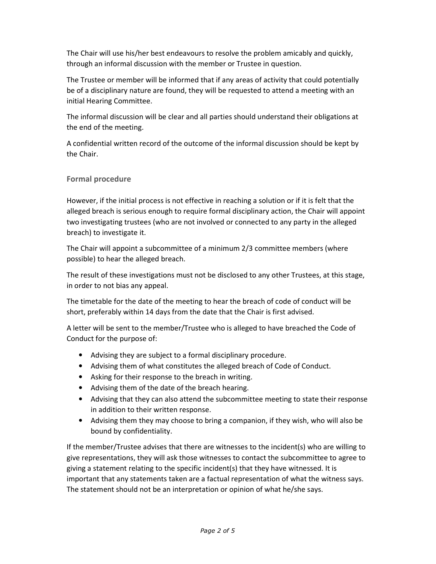The Chair will use his/her best endeavours to resolve the problem amicably and quickly, through an informal discussion with the member or Trustee in question.

The Trustee or member will be informed that if any areas of activity that could potentially be of a disciplinary nature are found, they will be requested to attend a meeting with an initial Hearing Committee.

The informal discussion will be clear and all parties should understand their obligations at the end of the meeting.

A confidential written record of the outcome of the informal discussion should be kept by the Chair.

## **Formal procedure**

However, if the initial process is not effective in reaching a solution or if it is felt that the alleged breach is serious enough to require formal disciplinary action, the Chair will appoint two investigating trustees (who are not involved or connected to any party in the alleged breach) to investigate it.

The Chair will appoint a subcommittee of a minimum 2/3 committee members (where possible) to hear the alleged breach.

The result of these investigations must not be disclosed to any other Trustees, at this stage, in order to not bias any appeal.

The timetable for the date of the meeting to hear the breach of code of conduct will be short, preferably within 14 days from the date that the Chair is first advised.

A letter will be sent to the member/Trustee who is alleged to have breached the Code of Conduct for the purpose of:

- Advising they are subject to a formal disciplinary procedure.
- Advising them of what constitutes the alleged breach of Code of Conduct.
- Asking for their response to the breach in writing.
- Advising them of the date of the breach hearing.
- Advising that they can also attend the subcommittee meeting to state their response in addition to their written response.
- Advising them they may choose to bring a companion, if they wish, who will also be bound by confidentiality.

If the member/Trustee advises that there are witnesses to the incident(s) who are willing to give representations, they will ask those witnesses to contact the subcommittee to agree to giving a statement relating to the specific incident(s) that they have witnessed. It is important that any statements taken are a factual representation of what the witness says. The statement should not be an interpretation or opinion of what he/she says.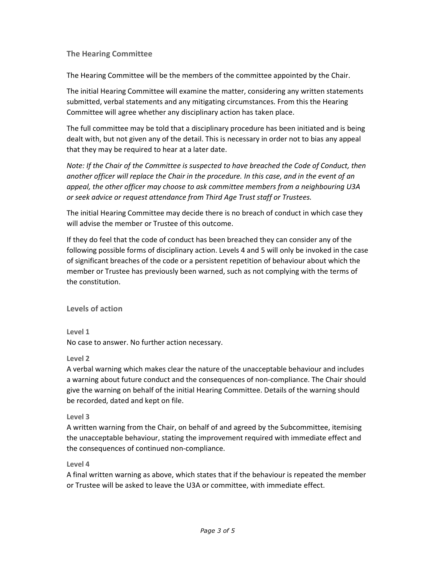## **The Hearing Committee**

The Hearing Committee will be the members of the committee appointed by the Chair.

The initial Hearing Committee will examine the matter, considering any written statements submitted, verbal statements and any mitigating circumstances. From this the Hearing Committee will agree whether any disciplinary action has taken place.

The full committee may be told that a disciplinary procedure has been initiated and is being dealt with, but not given any of the detail. This is necessary in order not to bias any appeal that they may be required to hear at a later date.

*Note: If the Chair of the Committee is suspected to have breached the Code of Conduct, then another officer will replace the Chair in the procedure. In this case, and in the event of an appeal, the other officer may choose to ask committee members from a neighbouring U3A or seek advice or request attendance from Third Age Trust staff or Trustees.* 

The initial Hearing Committee may decide there is no breach of conduct in which case they will advise the member or Trustee of this outcome.

If they do feel that the code of conduct has been breached they can consider any of the following possible forms of disciplinary action. Levels 4 and 5 will only be invoked in the case of significant breaches of the code or a persistent repetition of behaviour about which the member or Trustee has previously been warned, such as not complying with the terms of the constitution.

**Levels of action**

**Level 1**  No case to answer. No further action necessary.

**Level 2** 

A verbal warning which makes clear the nature of the unacceptable behaviour and includes a warning about future conduct and the consequences of non-compliance. The Chair should give the warning on behalf of the initial Hearing Committee. Details of the warning should be recorded, dated and kept on file.

#### **Level 3**

A written warning from the Chair, on behalf of and agreed by the Subcommittee, itemising the unacceptable behaviour, stating the improvement required with immediate effect and the consequences of continued non-compliance.

#### **Level 4**

A final written warning as above, which states that if the behaviour is repeated the member or Trustee will be asked to leave the U3A or committee, with immediate effect.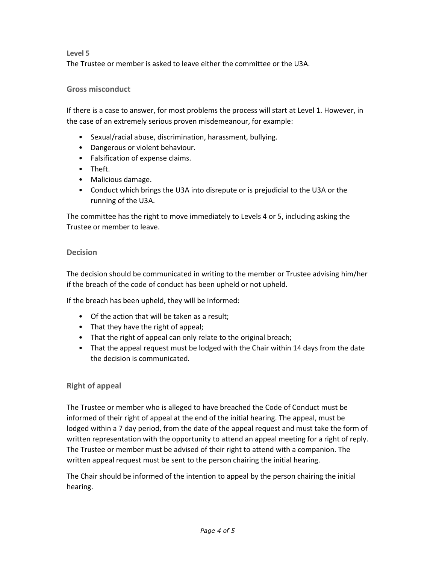### **Level 5**

The Trustee or member is asked to leave either the committee or the U3A.

## **Gross misconduct**

If there is a case to answer, for most problems the process will start at Level 1. However, in the case of an extremely serious proven misdemeanour, for example:

- Sexual/racial abuse, discrimination, harassment, bullying.
- Dangerous or violent behaviour.
- Falsification of expense claims.
- Theft.
- Malicious damage.
- Conduct which brings the U3A into disrepute or is prejudicial to the U3A or the running of the U3A.

The committee has the right to move immediately to Levels 4 or 5, including asking the Trustee or member to leave.

### **Decision**

The decision should be communicated in writing to the member or Trustee advising him/her if the breach of the code of conduct has been upheld or not upheld.

If the breach has been upheld, they will be informed:

- Of the action that will be taken as a result;
- That they have the right of appeal;
- That the right of appeal can only relate to the original breach;
- That the appeal request must be lodged with the Chair within 14 days from the date the decision is communicated.

#### **Right of appeal**

The Trustee or member who is alleged to have breached the Code of Conduct must be informed of their right of appeal at the end of the initial hearing. The appeal, must be lodged within a 7 day period, from the date of the appeal request and must take the form of written representation with the opportunity to attend an appeal meeting for a right of reply. The Trustee or member must be advised of their right to attend with a companion. The written appeal request must be sent to the person chairing the initial hearing.

The Chair should be informed of the intention to appeal by the person chairing the initial hearing.